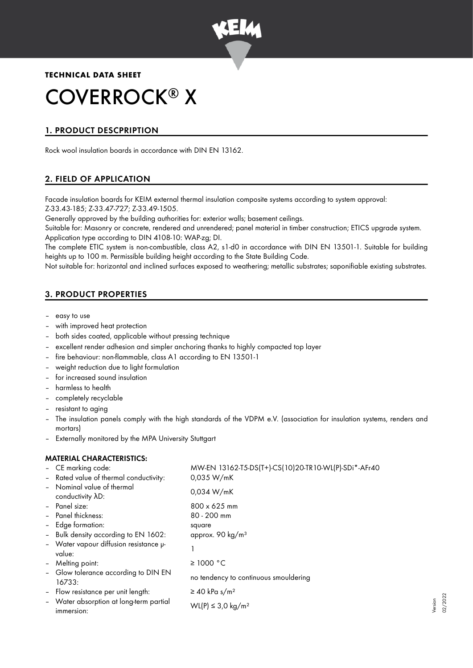

## **TECHNICAL DATA SHEET**

# COVERROCK<sup>®</sup> X

# 1. PRODUCT DESCPRIPTION

Rock wool insulation boards in accordance with DIN EN 13162.

## 2. FIELD OF APPLICATION

Facade insulation boards for KEIM external thermal insulation composite systems according to system approval: Z-33.43-185; Z-33.47-727; Z-33.49-1505.

Generally approved by the building authorities for: exterior walls; basement ceilings.

Suitable for: Masonry or concrete, rendered and unrendered; panel material in timber construction; ETICS upgrade system. Application type according to DIN 4108-10: WAP-zg; DI.

The complete ETIC system is non-combustible, class A2, s1-d0 in accordance with DIN EN 13501-1. Suitable for building heights up to 100 m. Permissible building height according to the State Building Code.

Not suitable for: horizontal and inclined surfaces exposed to weathering; metallic substrates; saponifiable existing substrates.

# 3. PRODUCT PROPERTIES

- easy to use
- with improved heat protection
- both sides coated, applicable without pressing technique
- excellent render adhesion and simpler anchoring thanks to highly compacted top layer
- fire behaviour: non-flammable, class A1 according to EN 13501-1
- weight reduction due to light formulation
- for increased sound insulation
- harmless to health
- completely recyclable
- resistant to aging
- The insulation panels comply with the high standards of the VDPM e.V. (association for insulation systems, renders and mortars)
- Externally monitored by the MPA University Stuttgart

## MATERIAL CHARACTERISTICS:

|                | - CE marking code:                                       | MW-EN 13162-T5-DS(T+)-CS(10)20-TR10-WL(P)-SDi*-AFr40 |
|----------------|----------------------------------------------------------|------------------------------------------------------|
|                | - Rated value of thermal conductivity:                   | 0,035 W/mK                                           |
|                | - Nominal value of thermal<br>conductivity $\lambda D$ : | 0.034 W/mK                                           |
|                | - Panel size:                                            | $800 \times 625$ mm                                  |
|                | - Panel thickness:                                       | $80 - 200$ mm                                        |
|                | - Edge formation:                                        | square                                               |
|                | - Bulk density according to EN 1602:                     | approx. 90 kg/m <sup>3</sup>                         |
|                | - Water vapour diffusion resistance u-<br>value:         |                                                      |
|                | - Melting point:                                         | ≥ 1000 °C                                            |
|                | - Glow tolerance according to DIN EN<br>16733:           | no tendency to continuous smouldering                |
| $\blacksquare$ | Flow resistance per unit length:                         | $\geq$ 40 kPa s/m <sup>2</sup>                       |
|                | - Water absorption at long-term partial<br>immersion:    | WL(P) ≤ 3,0 kg/m <sup>2</sup>                        |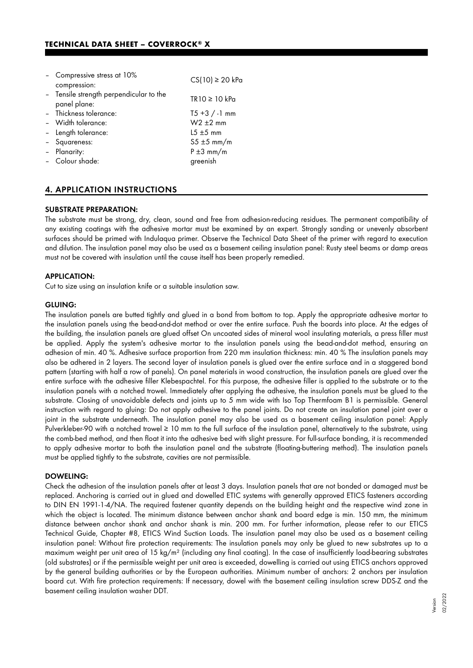| - Compressive stress at 10%<br>compression:             | $CS(10) \ge 20$ kPa |
|---------------------------------------------------------|---------------------|
| - Tensile strength perpendicular to the<br>panel plane: | TR10 ≥ 10 kPa       |
| - Thickness tolerance:                                  | $T5 + 3 / -1$ mm    |
| - Width tolerance:                                      | $W2 \pm 2$ mm       |
| - Length tolerance:                                     | $15 \pm 5$ mm       |
| - Squareness:                                           | $55 \pm 5$ mm/m     |
| Planarity:                                              | $P \pm 3$ mm/m      |
| - Colour shade:                                         | greenish            |

## 4. APPLICATION INSTRUCTIONS

#### SUBSTRATE PREPARATION:

The substrate must be strong, dry, clean, sound and free from adhesion-reducing residues. The permanent compatibility of any existing coatings with the adhesive mortar must be examined by an expert. Strongly sanding or unevenly absorbent surfaces should be primed with Indulaqua primer. Observe the Technical Data Sheet of the primer with regard to execution and dilution. The insulation panel may also be used as a basement ceiling insulation panel: Rusty steel beams or damp areas must not be covered with insulation until the cause itself has been properly remedied.

#### APPLICATION:

Cut to size using an insulation knife or a suitable insulation saw.

#### GLUING:

The insulation panels are butted tightly and glued in a bond from bottom to top. Apply the appropriate adhesive mortar to the insulation panels using the bead-and-dot method or over the entire surface. Push the boards into place. At the edges of the building, the insulation panels are glued offset On uncoated sides of mineral wool insulating materials, a press filler must be applied. Apply the system's adhesive mortar to the insulation panels using the bead-and-dot method, ensuring an adhesion of min. 40 %. Adhesive surface proportion from 220 mm insulation thickness: min. 40 % The insulation panels may also be adhered in 2 layers. The second layer of insulation panels is glued over the entire surface and in a staggered bond pattern (starting with half a row of panels). On panel materials in wood construction, the insulation panels are glued over the entire surface with the adhesive filler Klebespachtel. For this purpose, the adhesive filler is applied to the substrate or to the insulation panels with a notched trowel. Immediately after applying the adhesive, the insulation panels must be glued to the substrate. Closing of unavoidable defects and joints up to 5 mm wide with Iso Top Thermfoam B1 is permissible. General instruction with regard to gluing: Do not apply adhesive to the panel joints. Do not create an insulation panel joint over a joint in the substrate underneath. The insulation panel may also be used as a basement ceiling insulation panel: Apply Pulverkleber-90 with a notched trowel ≥ 10 mm to the full surface of the insulation panel, alternatively to the substrate, using the comb-bed method, and then float it into the adhesive bed with slight pressure. For full-surface bonding, it is recommended to apply adhesive mortar to both the insulation panel and the substrate (floating-buttering method). The insulation panels must be applied tightly to the substrate, cavities are not permissible.

#### DOWELING:

Check the adhesion of the insulation panels after at least 3 days. Insulation panels that are not bonded or damaged must be replaced. Anchoring is carried out in glued and dowelled ETIC systems with generally approved ETICS fasteners according to DIN EN 1991-1-4/NA. The required fastener quantity depends on the building height and the respective wind zone in which the object is located. The minimum distance between anchor shank and board edge is min. 150 mm, the minimum distance between anchor shank and anchor shank is min. 200 mm. For further information, please refer to our ETICS Technical Guide, Chapter #8, ETICS Wind Suction Loads. The insulation panel may also be used as a basement ceiling insulation panel: Without fire protection requirements: The insulation panels may only be glued to new substrates up to a maximum weight per unit area of 15 kg/m² (including any final coating). In the case of insufficiently load-bearing substrates (old substrates) or if the permissible weight per unit area is exceeded, dowelling is carried out using ETICS anchors approved by the general building authorities or by the European authorities. Minimum number of anchors: 2 anchors per insulation board cut. With fire protection requirements: If necessary, dowel with the basement ceiling insulation screw DDS-Z and the basement ceiling insulation washer DDT.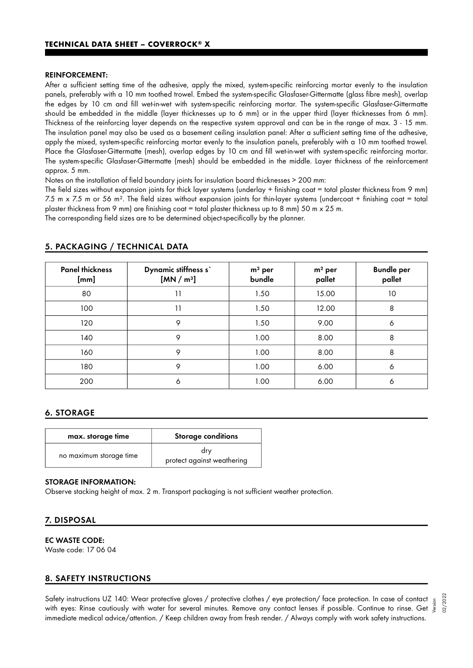#### REINFORCEMENT:

After a sufficient setting time of the adhesive, apply the mixed, system-specific reinforcing mortar evenly to the insulation panels, preferably with a 10 mm toothed trowel. Embed the system-specific Glasfaser-Gittermatte (glass fibre mesh), overlap the edges by 10 cm and fill wet-in-wet with system-specific reinforcing mortar. The system-specific Glasfaser-Gittermatte should be embedded in the middle (layer thicknesses up to 6 mm) or in the upper third (layer thicknesses from 6 mm). Thickness of the reinforcing layer depends on the respective system approval and can be in the range of max. 3 - 15 mm. The insulation panel may also be used as a basement ceiling insulation panel: After a sufficient setting time of the adhesive, apply the mixed, system-specific reinforcing mortar evenly to the insulation panels, preferably with a 10 mm toothed trowel. Place the Glasfaser-Gittermatte (mesh), overlap edges by 10 cm and fill wet-in-wet with system-specific reinforcing mortar. The system-specific Glasfaser-Gittermatte (mesh) should be embedded in the middle. Layer thickness of the reinforcement approx. 5 mm.

Notes on the installation of field boundary joints for insulation board thicknesses > 200 mm:

The field sizes without expansion joints for thick layer systems (underlay + finishing coat = total plaster thickness from 9 mm) 7.5 m x 7.5 m or 56 m². The field sizes without expansion joints for thin-layer systems (undercoat + finishing coat = total plaster thickness from 9 mm) are finishing coat = total plaster thickness up to 8 mm) 50 m x 25 m. The corresponding field sizes are to be determined object-specifically by the planner.

| <b>Panel thickness</b><br>[mm] | Dynamic stiffness s'<br>[MN/m <sup>3</sup> ] | $m2$ per<br>bundle | $m2$ per<br>pallet | <b>Bundle per</b><br>pallet |
|--------------------------------|----------------------------------------------|--------------------|--------------------|-----------------------------|
| 80                             | 11                                           | 1.50               | 15.00              | 10                          |
| 100                            | 11                                           | 1.50               | 12.00              | 8                           |
| 120                            | 9                                            | 1.50               | 9.00               | 6                           |
| 140                            | 9                                            | 1.00               | 8.00               | 8                           |
| 160                            | 9                                            | 1.00               | 8.00               | 8                           |
| 180                            | 9                                            | 1.00               | 6.00               | 6                           |
| 200                            | 6                                            | 1.00               | 6.00               | 6                           |

#### 5. PACKAGING / TECHNICAL DATA

#### 6. STORAGE

| max. storage time       | <b>Storage conditions</b>         |
|-------------------------|-----------------------------------|
| no maximum storage time | drv<br>protect against weathering |

### STORAGE INFORMATION:

Observe stacking height of max. 2 m. Transport packaging is not sufficient weather protection.

#### 7. DISPOSAL

#### EC WASTE CODE:

Waste code: 17 06 04

#### 8. SAFETY INSTRUCTIONS

Safety instructions UZ 140: Wear protective gloves / protective clothes / eye protection/ face protection. In case of contact Satety instructions UZ 140: Wear protective gloves / protective clothes / eye protection/ tace protection. In case ot contact  $\frac{5}{5}$ <br>with eyes: Rinse cautiously with water for several minutes. Remove any contact lenses immediate medical advice/attention. / Keep children away from fresh render. / Always comply with work safety instructions.